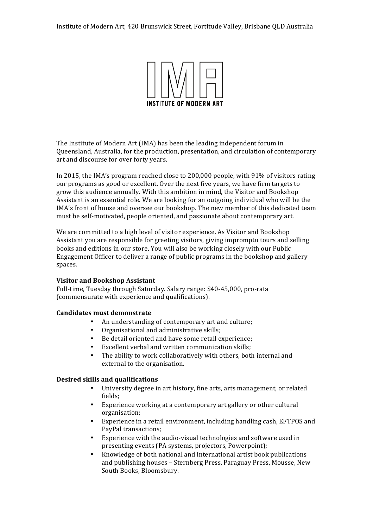

The Institute of Modern Art (IMA) has been the leading independent forum in Queensland, Australia, for the production, presentation, and circulation of contemporary art and discourse for over forty years.

In 2015, the IMA's program reached close to  $200,000$  people, with 91% of visitors rating our programs as good or excellent. Over the next five years, we have firm targets to grow this audience annually. With this ambition in mind, the Visitor and Bookshop Assistant is an essential role. We are looking for an outgoing individual who will be the IMA's front of house and oversee our bookshop. The new member of this dedicated team must be self-motivated, people oriented, and passionate about contemporary art.

We are committed to a high level of visitor experience. As Visitor and Bookshop Assistant you are responsible for greeting visitors, giving impromptu tours and selling books and editions in our store. You will also be working closely with our Public Engagement Officer to deliver a range of public programs in the bookshop and gallery spaces.

### **Visitor and Bookshop Assistant**

Full-time, Tuesday through Saturday. Salary range: \$40-45,000, pro-rata (commensurate with experience and qualifications).

### **Candidates must demonstrate**

- An understanding of contemporary art and culture;
- Organisational and administrative skills;
- Be detail oriented and have some retail experience;
- Excellent verbal and written communication skills;
- The ability to work collaboratively with others, both internal and external to the organisation.

### **Desired skills and qualifications**

- University degree in art history, fine arts, arts management, or related fields;
- Experience working at a contemporary art gallery or other cultural organisation;
- Experience in a retail environment, including handling cash, EFTPOS and PayPal transactions;
- Experience with the audio-visual technologies and software used in presenting events (PA systems, projectors, Powerpoint);
- Knowledge of both national and international artist book publications and publishing houses - Sternberg Press, Paraguay Press, Mousse, New South Books, Bloomsbury.